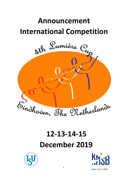## **Announcement International Competition**



# **12-13-14-15 December 2019**





Date: June 5, 2019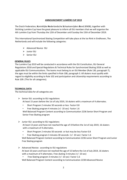#### **ANNOUNCEMENT LUMIÈRE CUP 2019**

The Dutch Federation, **K**oninklijke **N**ederlandsche **S**chaatsenrijders **B**ond (KNSB), together with Stichting Lumière Cup have the great pleasure to inform all ISU members that we will organise the 4th Lumière Cup from Thursday the 12th of December until Sunday the 15th of December 2019.

This International Synchronized Skating Competition will take place at the Ice Rink in Eindhoven, The Netherlands and will include the following categories:

- $\triangleright$  Advanced Novice ISU
- $\triangleright$  Junior ISU
- $\triangleright$  Senior ISU

#### **GENERAL RULES**

The Lumière Cup 2019 will be conducted in accordance with the ISU Constitution, ISU General Regulations 2018 and Special Regulations & Technical Rules for Synchronized Skating 2018 as well as applicable ISU Communications. The teams must belong to an ISU Member (Rule 130, paragraph 7), the ages must be within the limits specified in Rule 108, paragraph 3. All skaters must qualify with regard to eligibility according to Rule 102 and participation and citizenship requirements according to Rule 109. (This for all categories).

#### **TECHNICAL DATA**

The technical data for all categories are:

- $\triangleright$  Senior ISU: according to ISU regulations At least 15 years before the 1st of July 2019, 16 skaters with a maximum of 4 alternates.
	- Short Program 2 minutes 50 seconds or less Factor 0.8
	- Free Skating program 4 minutes (+/- 10 sec) Factor 1.6
	- Well Balanced Program Content according to Communication 2236 Senior Short Program and Senior Free Skating program
- $\triangleright$  Junior ISU: according to ISU regulations At least 13 years and have not reached the age of 19 before the 1st of July 2019, 16 skaters with a maximum of 4 alternates.
	- Short Program 2 minutes 50 seconds or but may be less Factor 0.8
	- Free Skating program 3 minutes 30 seconds (+/- 10 sec) Factor 1.6

Well Balanced Program Content according to Communication 2236 Junior Short Program and Junior Free Skating program

- $\triangleright$  Advanced Novice: according to ISU regulations At least 10 years and have not reached the age of 15 before the 1st of July 2019, 16 skaters with a maximum of 4 alternates. Free skating 3 minutes (+/- 10 sec)
	- Free Skating program 3 minutes (+/- 10 sec) Factor 1.6

Well Balanced Program Content according to Communication 2238 Advanced Novice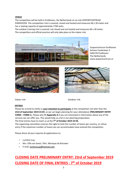#### **VENUE**

The competition will be held in Eindhoven, the Netherlands at ice rink IJSSPORTCENTRUM EINDHOVEN. The competition rink is covered, closed and heated and measures 60 x 30 meter and has a seating capacity of approximately 1700 seats.

The outdoor training rink is covered, not closed and not heated and measures 60 x 30 meter. The competition and official practice will only take place at the indoor rink.



IJssportcentrum Eindhoven Antoon Coolenlaan 3 5644 RX Eindhoven The Netherlands www.ijssportcentrum.nl





Indoor rink Outdoor rink

#### **ENTRIES**

Please be so kind to notify us **your intention to participate** at the competition not later than the **23rd of September 2019 23:59**, so we can begin planning for your attendance (**PRELIMINARY ENTRY FORM – FORM 1**). Please also fill **Appendix A** if you are interested in information about any of the services we can offer you. This would help us a lot in our planning preparation.

The final entries have to reach us at the **7 th of October 2019 23:59.** The organizing committee reserves the right to limit the number of teams per country, or refuse

entry if the maximum number of teams we can accommodate have entered the competition.

Please direct all your inquiries & applications to:

- Lumière Cup
- Mrs. Ellie van Soest / Mrs. Monique de Brouwer
- E-mail: lumierecup@hotmail.com

## **CLOSING DATE PRELIMINARY ENTRY: 23rd of September 2019 CLOSING DATE OF FINAL ENTRIES : 7 th of October 2019**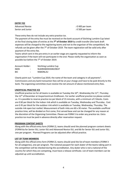| <b>ENTRY FEE</b>       |                  |
|------------------------|------------------|
| <b>Advanced Novice</b> | : €400 per team  |
| Senior and Junior      | : € 500 per team |

These entry fees do not include any extra practice ice.

The payment of the entry fee must be received on the bank account of Stichting Lumière Cup latest at the final closing date of entries at the **7 th of October 2019** by credit transfer (the bank draft expenses will be charged to the registering teams and not to the organiser of the competition). No refunds can be given after the 7<sup>th</sup> of October 2019. The team registration will be valid only after payment of the entry fee.

Teams which sent in the pre-entry in an earlier stage are urgently requested to inform the organisation if the team will not participate in the end. Please notify the organisation as soon as possible but before the 7<sup>th</sup> of October 2019.

| Account Holder: |        | Stichting Lumière Cup |
|-----------------|--------|-----------------------|
| <b>IBAN</b>     | ٠<br>٠ | NL84RABO0334619637    |
| <b>BIC</b>      | ٠      | RABONL2U              |

Clearly point out: "Lumière Cup 2019, the name of the team and category in all payments". Commissions and any bank transaction fees will be at your charge and have to be paid directly to the bank. The organizing committee must receive the net amount of above mentioned entry fees.

#### **UNOFFICIAL PRACTICE ICE**

Unofficial practice ice for all teams is available on Tuesday the  $10^{th}$ , Wednesday the  $11^{th}$ , Thursday the 12<sup>th</sup> of December at IJssportcentrum Eindhoven. For earlier unofficial practice ice please contact us. It is possible to reserve practice ice per block of 15 minutes, with a minimum of 2 blocks. Costs are € 60 per block for the indoor rink which is available on Tuesday, Wednesday and Thursday . Cost are € 45 per block for the outdoor rink which is available on Tuesday, Wednesday, Thursday. The outside rink open but roofed. Measurement of both rinks are 60 x 30 meter. The available unofficial practice time, will be divided on first come, first served base and can be changed for any reason at the discretion of the Organizing Committee. Please use FORM 5 to order any practice ice. Extra practice ice must be paid in advance directly after reservation request.

#### **PROGRAM CONTENT SHEETS**

Along with the official entry form (FORM 2), teams should send the planned program content sheets (FORM 6a for Senior ISU, Junior ISU and Advanced Novice ISU, and 6b for Senior ISU and Junior ISU, one per program. Planned Programs can be adjusted after official practice.

#### **LIST OF TEAM MEMBERS**

Along with the official entry form (FORM 2), teams should send the list of team members (FORM 3 for all categories), one per program. The national passport for each skater of the teams taking part in the competition will be checked during the accreditation. Any skater who is not a national of the country for which they are competing, must have a release certificate. List of team members can be adjusted up until accreditation.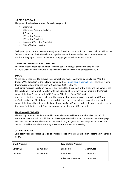#### **JUDGES & OFFICIALS**

The panel of Judges is composed for each category of:

- 1 Referee
- 1 Referee's Assistant Ice Level
- 5-7 Judges
- 1 Technical Controller
- 1 Technical Specialist
- 1 Assistant Technical Specialist
- 2 Data/Replay operator

Each participant country may enter two judges. Travel, accommodation and meals will be paid for the Technical panel and the Referee by the organizing committee as well as the accommodation and meals for the judges. Teams are invited to bring judges as well as technical panel.

#### **JUDGES AND TECHNICAL PANEL MEETING**

The initial Judges Meeting and initial Technical panel meeting is planned to take place at IJSSPORTCENTRUM EINDHOVEN in the evening of Thursday the 12th of December 2019.

#### **MUSIC**

All teams are requested to provide their competition music in advance by emailing an MP3-file through "We Transfer" to the following email-address: **lumierecup@hotmail.com**. Teams must send their music not later than the 10th of November 2019 (FORM 4).

Each email message should only contain one music file. The subject of the email and the name of the file should be in the format "MUSIC" with the addition of "category-type of program (free/short) name of the team" (for example MUSIC Junior ISU – free – Team ABC.mp3).

Upon accreditation all teams shall bring their competition music of excellent quality on CD (no mp3cd) as a backup. The CD must be properly inserted in its original case, must clearly show the name of the team, the category, the type of program (short/free) as well as the exact running time of the music (not skating time). Only one program in one track per CD is permitted.

#### **STARTING ORDER/DRAW**

The starting order will be determined by draw. The draw will be done at Thursday the  $12<sup>th</sup>$  of December 2019 and will be published on the competition website and competition Facebook page not later than 23:59 PM. The draw for the Free Skating Program for the categories Junior ISU and Senior ISU will be after the short program seniors at the ice rink on Friday.

#### **OFFICIAL PRACTICE**

Each team will be allocated a period of official practice on the competition rink described in the table below:

| <b>Short Program</b> |            | <b>Free Skating Program</b> |            |
|----------------------|------------|-----------------------------|------------|
| Senior ISU           | 10 minutes | Senior ISU                  | 12 minutes |
| Junior ISU           | 10 minutes | Junior ISU                  | 12 minutes |
|                      |            | <b>Advanced Novice ISU</b>  | 12 minutes |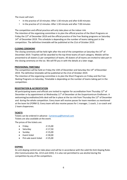The music will start:

- In the practice of 10 minutes: After 1:30 minute and after 6:00 minutes
- In the practice of 12 minutes: After 1:30 minute and after 7:00 minutes

The competition and official practice will only take place at the indoor rink. The intention of the organizing committee is to plan the official practice of the Short Programs on Friday the 13th of December 2019 and the official practice of the Free Skating programs on Saturday  $14<sup>th</sup>$  of December 2019. This schedule is depending on the number of teams taking part in the competition. The definitive timetable will be published at the 21st of October 2019.

#### **CLOSING CEREMONY**

The closing ceremony will be held right after the end of the competition at Saturday the 14<sup>th</sup> of December 2019. Trophies will be awarded to the top three teams of each category. Medals will be presented to all skaters (1 per competitor) of teams. All skaters of all teams are invited to take part in the closing ceremony on the ice. We will fill you in with the details at a later stage.

#### **PROVISIONAL TIMETABLE**

The competition will be held on Friday the 13th of December and Saturday the  $14<sup>th</sup>$  of December 2019. The definitive timetable will be published at the 21st of October 2019.

The intention of the organizing committee is to plan the Short Programs on Friday and the Free Skating Programs on Saturday. Timetable is depending on the number of teams taking part in the competition.

#### **REGISTRATION & ACCREDITATION**

All participating teams and officials are invited to register for accreditation from Thursday  $12<sup>th</sup>$  of December or by appointment at Wednesday  $11<sup>th</sup>$  of December at the IJssportcentrum Eindhoven. A welcoming/accreditation/info desk will be in place at the ice rink from Thursday the 12<sup>th</sup> of December and during the whole competition. Every team will receive passes for team members as mentioned at the team list (FORM 3). Every team will also receive passes for 1 manager, 1 coach, 1 co-coach and 2 team chaperones.

#### **TICKETS**

Tickets can be ordered in advance : [lumierecup@hotmail.com](mailto:lumierecup@hotmail.com) Tickets are also available at the event.

The prices of the tickets are:

| $\bullet$ | Friday                | ∶€ 15,00  |
|-----------|-----------------------|-----------|
| $\bullet$ | Saturday              | ∶€ 17,50  |
|           | Sunday                | : € 15.00 |
| $\bullet$ | Event ticket          | : € 30,00 |
| $\bullet$ | Pré-sale event ticket | : € 25,00 |

#### **DOPING**

An anti-doping control can take place and will be in accordance with the valid ISU Anti-Doping Rules (ISU Communication No. 2213 and 2243). It is also not permitted to use alcohol during the competition by any of the competitors.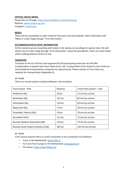#### **OFFICIAL SOCIAL MEDIA**

Please like our FB page:<https://www.facebook.com/lumierecup/> Website: [www.lumierecup.com](http://www.lumierecup.com/) Instagram[: lumierecup](https://www.instagram.com/lumierecup/?hl=nl)

#### **MEALS**

There will be a possibility to order meals for the teams and accompanies. More information will follow in a later stage through "First information".

#### **ACCOMMODATION & HOTEL INFORMATION**

At this moment we are consulting with hotels in the nearby surroundings for special rates. We will inform you at a later stage through "First information" about the possibilities. There are some hotels within walking distance of the ice rink.

#### **TRANSPORT**

Transport to the ice rink has to be organised by the participating team but we will offer transportation at special rates from hotels to ice rink. Transportation from airport to your hotel can be provided by transportation companies for special prices. Please contact us if you have any requests for transportation (Appendix A).

#### BY PLANE

There are several airports nearby Eindhoven. See list below:

| From Airport - Rink                     | <b>Distance</b>  | Travel time (airport - rink) |
|-----------------------------------------|------------------|------------------------------|
| Eindhoven (NL)                          | $10 \mathrm{km}$ | 13 min by car/taxi           |
| Rotterdam (NL)                          | 122 km           | 83 min by car/taxi           |
| Amsterdam (NL)                          | 132 km           | 83 min by car/taxi           |
| Maastricht (NL)                         | 77 km            | 50 min by car/taxi           |
| Dusseldorf, Weeze (DUI)                 | 70 km            | 70 min by car/taxi           |
| Dusseldorf (DUI)                        | 112 km           | 73 min by car/taxi           |
| Brussels National (Zaventem) (BE)       | 124 km           | 79 min by car/taxi           |
| Brussels South Airport (Charleroi) (BE) | 183 km           | 120 min by car/taxi          |

#### BY TRAIN

From several airports there is a train connection or bus connection to Eindhoven

- Trains in the Netherlands: www.9292.nl
- For trains from Europe to The Netherlands[: www.goeuro.nl](http://www.goeuro.nl/)
- For busses[: https://www.flixbus.nl/](https://www.flixbus.nl/)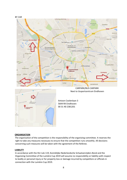







Antoon Coolenlaan 3 5644 RX Eindhoven 00 31 40 2381201

#### **ORGANISATION**

The organisation of the competition is the responsibility of the organizing committee. It reserves the right to take any measures necessary to ensure that the competition runs smoothly. All decisions concerning such measures will be taken with the agreement of the Referee.

#### **LIABILITY**

In accordance with the ISU rule 119, Koninklijke Nederlandsche Schaatsenrijders Bond and the Organizing Committee of the Lumière Cup 2019 will assume no responsibility or liability with respect to bodily or personal injury or for property loss or damage incurred by competitors or officials in connection with the Lumière Cup 2019.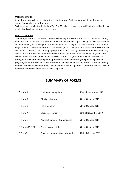#### **MEDICAL SERVICE**

A medical service will be on duty at the IJssportcentrum Eindhoven during all the time of the competition and at the official practices.

Each member participating in the Lumière Cup 2019 has the sole responsibility for providing its own medical and accident insurance protection.

#### **PUBLICITY WAIVER**

Members, teams and competitors hereby acknowledge and consent to the fact that team photos, team info and results will be published, as well as the Lumière Cup 2019 may be televised either in whole or in part, for showing on a worldwide basis. According to the ISU Constitution and General Regulations 2018 both members and competitors (in this particular case, teams) hereby certify and warrant that the music and choreography presented and used by the competitors have been fully cleared and authorized for public use and consent to the use of his or her name, biography and likeness on or in connection with any television or radio program broadcast and re-broadcast throughout the world, motion picture, print media or the advertising and publicizing of such program, without further clearance or payments of any kind on the site of the ISU, the organizing member Koninklijke Nederlandsche Schaatsenrijders Bond, Organizing Committee and the relevant television network or broadcasters being required.

### **SUMMARY OF FORMS**

| $\Box$ Form 1         | Preliminary entry form           | 23rd of September 2019 |
|-----------------------|----------------------------------|------------------------|
| $\Box$ Form 2         | Official entry form              | 7th of October 2019    |
| $\Box$ Form 3         | Team members                     | 7th of October 2019    |
| $\Box$ Form 4         | Music information                | 10th of November 2019  |
| $\Box$ Form 5         | Payment summary & practice ice   | 7th of October 2019    |
| $\Box$ Form 6 (A & B) | Program content sheet            | 7th of October 2019    |
| $\Box$ Form 7         | Travel/accommodation information | 28th of October 2019   |